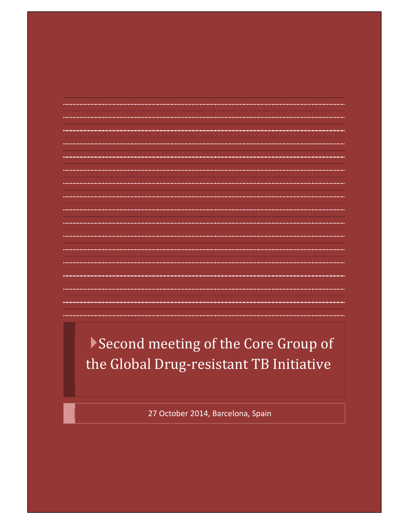# Second meeting of the Core Group of the Global Drug-resistant TB Initiative

27 October 2014, Barcelona, Spain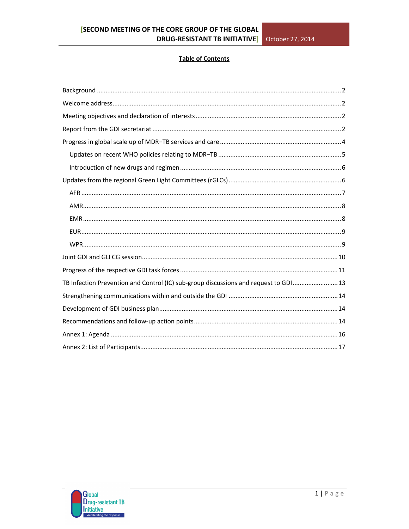#### **Table of Contents**

| TB Infection Prevention and Control (IC) sub-group discussions and request to GDI  13 |  |
|---------------------------------------------------------------------------------------|--|
|                                                                                       |  |
|                                                                                       |  |
|                                                                                       |  |
|                                                                                       |  |
|                                                                                       |  |

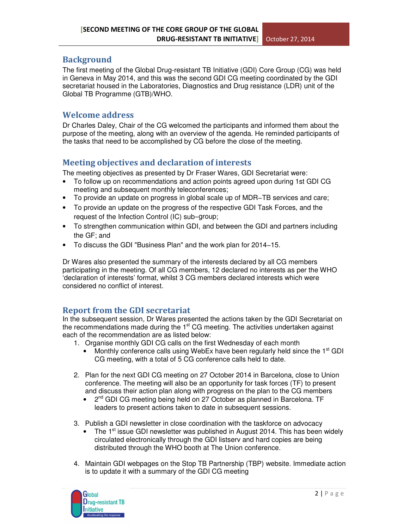# **Background**

The first meeting of the Global Drug-resistant TB Initiative (GDI) Core Group (CG) was held in Geneva in May 2014, and this was the second GDI CG meeting coordinated by the GDI secretariat housed in the Laboratories, Diagnostics and Drug resistance (LDR) unit of the Global TB Programme (GTB)/WHO.

# Welcome address

Dr Charles Daley, Chair of the CG welcomed the participants and informed them about the purpose of the meeting, along with an overview of the agenda. He reminded participants of the tasks that need to be accomplished by CG before the close of the meeting.

# Meeting objectives and declaration of interests

The meeting objectives as presented by Dr Fraser Wares, GDI Secretariat were:

- To follow up on recommendations and action points agreed upon during 1st GDI CG meeting and subsequent monthly teleconferences;
- To provide an update on progress in global scale up of MDR−TB services and care;
- To provide an update on the progress of the respective GDI Task Forces, and the request of the Infection Control (IC) sub−group;
- To strengthen communication within GDI, and between the GDI and partners including the GF; and
- To discuss the GDI "Business Plan" and the work plan for 2014−15.

Dr Wares also presented the summary of the interests declared by all CG members participating in the meeting. Of all CG members, 12 declared no interests as per the WHO 'declaration of interests' format, whilst 3 CG members declared interests which were considered no conflict of interest.

# Report from the GDI secretariat

In the subsequent session, Dr Wares presented the actions taken by the GDI Secretariat on the recommendations made during the  $1<sup>st</sup> CG$  meeting. The activities undertaken against each of the recommendation are as listed below:

- 1. Organise monthly GDI CG calls on the first Wednesday of each month
	- Monthly conference calls using WebEx have been regularly held since the  $1<sup>st</sup>$  GDI CG meeting, with a total of 5 CG conference calls held to date.
- 2. Plan for the next GDI CG meeting on 27 October 2014 in Barcelona, close to Union conference. The meeting will also be an opportunity for task forces (TF) to present and discuss their action plan along with progress on the plan to the CG members
	- 2<sup>nd</sup> GDI CG meeting being held on 27 October as planned in Barcelona. TF leaders to present actions taken to date in subsequent sessions.
- 3. Publish a GDI newsletter in close coordination with the taskforce on advocacy
	- The 1<sup>st</sup> issue GDI newsletter was published in August 2014. This has been widely circulated electronically through the GDI listserv and hard copies are being distributed through the WHO booth at The Union conference.
- 4. Maintain GDI webpages on the Stop TB Partnership (TBP) website. Immediate action is to update it with a summary of the GDI CG meeting

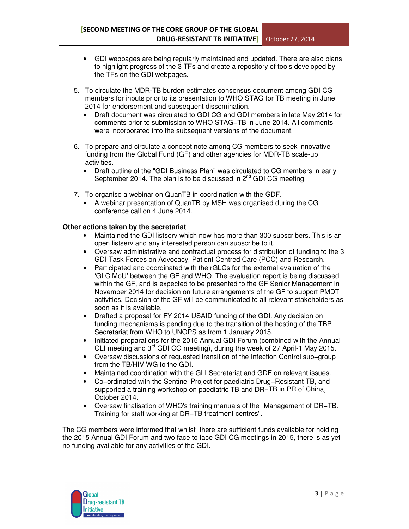- GDI webpages are being regularly maintained and updated. There are also plans to highlight progress of the 3 TFs and create a repository of tools developed by the TFs on the GDI webpages.
- 5. To circulate the MDR-TB burden estimates consensus document among GDI CG members for inputs prior to its presentation to WHO STAG for TB meeting in June 2014 for endorsement and subsequent dissemination.
	- Draft document was circulated to GDI CG and GDI members in late May 2014 for comments prior to submission to WHO STAG−TB in June 2014. All comments were incorporated into the subsequent versions of the document.
- 6. To prepare and circulate a concept note among CG members to seek innovative funding from the Global Fund (GF) and other agencies for MDR-TB scale-up activities.
	- Draft outline of the "GDI Business Plan" was circulated to CG members in early September 2014. The plan is to be discussed in  $2^{nd}$  GDI CG meeting.
- 7. To organise a webinar on QuanTB in coordination with the GDF.
	- A webinar presentation of QuanTB by MSH was organised during the CG conference call on 4 June 2014.

### **Other actions taken by the secretariat**

- Maintained the GDI listserv which now has more than 300 subscribers. This is an open listserv and any interested person can subscribe to it.
- Oversaw administrative and contractual process for distribution of funding to the 3 GDI Task Forces on Advocacy, Patient Centred Care (PCC) and Research.
- Participated and coordinated with the rGLCs for the external evaluation of the 'GLC MoU' between the GF and WHO. The evaluation report is being discussed within the GF, and is expected to be presented to the GF Senior Management in November 2014 for decision on future arrangements of the GF to support PMDT activities. Decision of the GF will be communicated to all relevant stakeholders as soon as it is available.
- Drafted a proposal for FY 2014 USAID funding of the GDI. Any decision on funding mechanisms is pending due to the transition of the hosting of the TBP Secretariat from WHO to UNOPS as from 1 January 2015.
- Initiated preparations for the 2015 Annual GDI Forum (combined with the Annual GLI meeting and 3<sup>rd</sup> GDI CG meeting), during the week of 27 April-1 May 2015.
- Oversaw discussions of requested transition of the Infection Control sub−group from the TB/HIV WG to the GDI.
- Maintained coordination with the GLI Secretariat and GDF on relevant issues.
- Co−ordinated with the Sentinel Project for paediatric Drug−Resistant TB, and supported a training workshop on paediatric TB and DR–TB in PR of China, October 2014.
- Oversaw finalisation of WHO's training manuals of the "Management of DR−TB. Training for staff working at DR−TB treatment centres".

The CG members were informed that whilst there are sufficient funds available for holding the 2015 Annual GDI Forum and two face to face GDI CG meetings in 2015, there is as yet no funding available for any activities of the GDI.

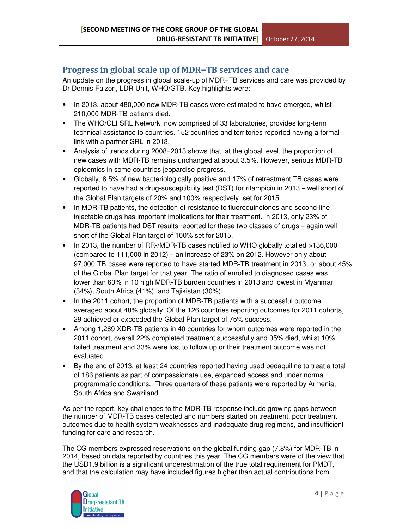# Progress in global scale up of MDR−TB services and care

An update on the progress in global scale-up of MDR−TB services and care was provided by Dr Dennis Falzon, LDR Unit, WHO/GTB. Key highlights were:

- In 2013, about 480,000 new MDR-TB cases were estimated to have emerged, whilst 210,000 MDR-TB patients died.
- The WHO/GLI SRL Network, now comprised of 33 laboratories, provides long-term technical assistance to countries. 152 countries and territories reported having a formal link with a partner SRL in 2013.
- Analysis of trends during 2008−2013 shows that, at the global level, the proportion of new cases with MDR-TB remains unchanged at about 3.5%. However, serious MDR-TB epidemics in some countries jeopardise progress.
- Globally, 8.5% of new bacteriologically positive and 17% of retreatment TB cases were reported to have had a drug-susceptibility test (DST) for rifampicin in 2013 − well short of the Global Plan targets of 20% and 100% respectively, set for 2015.
- In MDR-TB patients, the detection of resistance to fluoroquinolones and second-line injectable drugs has important implications for their treatment. In 2013, only 23% of MDR-TB patients had DST results reported for these two classes of drugs – again well short of the Global Plan target of 100% set for 2015.
- In 2013, the number of RR-/MDR-TB cases notified to WHO globally totalled >136,000 (compared to 111,000 in 2012) – an increase of 23% on 2012. However only about 97,000 TB cases were reported to have started MDR-TB treatment in 2013, or about 45% of the Global Plan target for that year. The ratio of enrolled to diagnosed cases was lower than 60% in 10 high MDR-TB burden countries in 2013 and lowest in Myanmar (34%), South Africa (41%), and Tajikistan (30%).
- In the 2011 cohort, the proportion of MDR-TB patients with a successful outcome averaged about 48% globally. Of the 126 countries reporting outcomes for 2011 cohorts, 29 achieved or exceeded the Global Plan target of 75% success.
- Among 1,269 XDR-TB patients in 40 countries for whom outcomes were reported in the 2011 cohort, overall 22% completed treatment successfully and 35% died, whilst 10% failed treatment and 33% were lost to follow up or their treatment outcome was not evaluated.
- By the end of 2013, at least 24 countries reported having used bedaquiline to treat a total of 186 patients as part of compassionate use, expanded access and under normal programmatic conditions. Three quarters of these patients were reported by Armenia, South Africa and Swaziland.

As per the report, key challenges to the MDR-TB response include growing gaps between the number of MDR-TB cases detected and numbers started on treatment, poor treatment outcomes due to health system weaknesses and inadequate drug regimens, and insufficient funding for care and research.

The CG members expressed reservations on the global funding gap (7.8%) for MDR-TB in 2014, based on data reported by countries this year. The CG members were of the view that the USD1.9 billion is a significant underestimation of the true total requirement for PMDT, and that the calculation may have included figures higher than actual contributions from

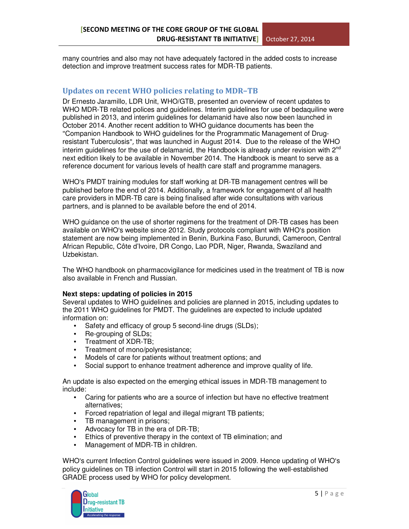many countries and also may not have adequately factored in the added costs to increase detection and improve treatment success rates for MDR-TB patients.

### Updates on recent WHO policies relating to MDR−TB

Dr Ernesto Jaramillo, LDR Unit, WHO/GTB, presented an overview of recent updates to WHO MDR-TB related polices and guidelines. Interim guidelines for use of bedaquiline were published in 2013, and interim guidelines for delamanid have also now been launched in October 2014. Another recent addition to WHO guidance documents has been the "Companion Handbook to WHO guidelines for the Programmatic Management of Drugresistant Tuberculosis", that was launched in August 2014. Due to the release of the WHO interim guidelines for the use of delamanid, the Handbook is already under revision with  $2^{nd}$ next edition likely to be available in November 2014. The Handbook is meant to serve as a reference document for various levels of health care staff and programme managers.

WHO's PMDT training modules for staff working at DR-TB management centres will be published before the end of 2014. Additionally, a framework for engagement of all health care providers in MDR-TB care is being finalised after wide consultations with various partners, and is planned to be available before the end of 2014.

WHO guidance on the use of shorter regimens for the treatment of DR-TB cases has been available on WHO's website since 2012. Study protocols compliant with WHO's position statement are now being implemented in Benin, Burkina Faso, Burundi, Cameroon, Central African Republic, Côte d'Ivoire, DR Congo, Lao PDR, Niger, Rwanda, Swaziland and Uzbekistan.

The WHO handbook on pharmacovigilance for medicines used in the treatment of TB is now also available in French and Russian.

### **Next steps: updating of policies in 2015**

Several updates to WHO guidelines and policies are planned in 2015, including updates to the 2011 WHO guidelines for PMDT. The guidelines are expected to include updated information on:

- Safety and efficacy of group 5 second-line drugs (SLDs);
- Re-grouping of SLDs;
- Treatment of XDR-TB;
- Treatment of mono/polyresistance;
- Models of care for patients without treatment options; and
- Social support to enhance treatment adherence and improve quality of life.

An update is also expected on the emerging ethical issues in MDR-TB management to include:

- Caring for patients who are a source of infection but have no effective treatment alternatives;
- Forced repatriation of legal and illegal migrant TB patients;
- TB management in prisons;
- Advocacy for TB in the era of DR-TB;
- Ethics of preventive therapy in the context of TB elimination; and
- Management of MDR-TB in children.

WHO's current Infection Control guidelines were issued in 2009. Hence updating of WHO's policy guidelines on TB infection Control will start in 2015 following the well-established GRADE process used by WHO for policy development.

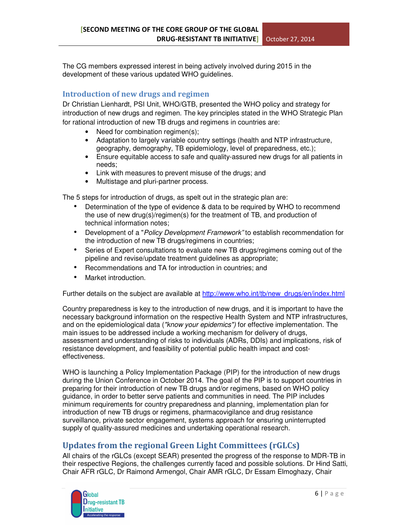The CG members expressed interest in being actively involved during 2015 in the development of these various updated WHO guidelines.

# Introduction of new drugs and regimen

Dr Christian Lienhardt, PSI Unit, WHO/GTB, presented the WHO policy and strategy for introduction of new drugs and regimen. The key principles stated in the WHO Strategic Plan for rational introduction of new TB drugs and regimens in countries are:

- Need for combination regimen(s);
- Adaptation to largely variable country settings (health and NTP infrastructure, geography, demography, TB epidemiology, level of preparedness, etc.);
- Ensure equitable access to safe and quality-assured new drugs for all patients in needs;
- Link with measures to prevent misuse of the drugs; and
- Multistage and pluri-partner process.

The 5 steps for introduction of drugs, as spelt out in the strategic plan are:

- Determination of the type of evidence & data to be required by WHO to recommend the use of new drug(s)/regimen(s) for the treatment of TB, and production of technical information notes;
- Development of a "*Policy Development Framework*" to establish recommendation for the introduction of new TB drugs/regimens in countries;
- Series of Expert consultations to evaluate new TB drugs/regimens coming out of the pipeline and revise/update treatment guidelines as appropriate;
- Recommendations and TA for introduction in countries; and
- Market introduction.

Further details on the subject are available at http://www.who.int/tb/new\_drugs/en/index.html

Country preparedness is key to the introduction of new drugs, and it is important to have the necessary background information on the respective Health System and NTP infrastructures, and on the epidemiological data ("know your epidemics") for effective implementation. The main issues to be addressed include a working mechanism for delivery of drugs, assessment and understanding of risks to individuals (ADRs, DDIs) and implications, risk of resistance development, and feasibility of potential public health impact and costeffectiveness.

WHO is launching a Policy Implementation Package (PIP) for the introduction of new drugs during the Union Conference in October 2014. The goal of the PIP is to support countries in preparing for their introduction of new TB drugs and/or regimens, based on WHO policy guidance, in order to better serve patients and communities in need. The PIP includes minimum requirements for country preparedness and planning, implementation plan for introduction of new TB drugs or regimens, pharmacovigilance and drug resistance surveillance, private sector engagement, systems approach for ensuring uninterrupted supply of quality-assured medicines and undertaking operational research.

# Updates from the regional Green Light Committees (rGLCs)

All chairs of the rGLCs (except SEAR) presented the progress of the response to MDR-TB in their respective Regions, the challenges currently faced and possible solutions. Dr Hind Satti, Chair AFR rGLC, Dr Raimond Armengol, Chair AMR rGLC, Dr Essam Elmoghazy, Chair

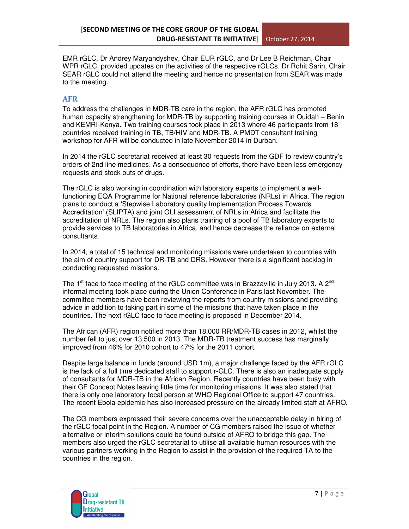EMR rGLC, Dr Andrey Maryandyshev, Chair EUR rGLC, and Dr Lee B Reichman, Chair WPR rGLC, provided updates on the activities of the respective rGLCs. Dr Rohit Sarin, Chair SEAR rGLC could not attend the meeting and hence no presentation from SEAR was made to the meeting.

### AFR

To address the challenges in MDR-TB care in the region, the AFR rGLC has promoted human capacity strengthening for MDR-TB by supporting training courses in Ouidah – Benin and KEMRI-Kenya. Two training courses took place in 2013 where 46 participants from 18 countries received training in TB, TB/HIV and MDR-TB. A PMDT consultant training workshop for AFR will be conducted in late November 2014 in Durban.

In 2014 the rGLC secretariat received at least 30 requests from the GDF to review country's orders of 2nd line medicines. As a consequence of efforts, there have been less emergency requests and stock outs of drugs.

The rGLC is also working in coordination with laboratory experts to implement a wellfunctioning EQA Programme for National reference laboratories (NRLs) in Africa. The region plans to conduct a 'Stepwise Laboratory quality Implementation Process Towards Accreditation' (SLIPTA) and joint GLI assessment of NRLs in Africa and facilitate the accreditation of NRLs. The region also plans training of a pool of TB laboratory experts to provide services to TB laboratories in Africa, and hence decrease the reliance on external consultants.

In 2014, a total of 15 technical and monitoring missions were undertaken to countries with the aim of country support for DR-TB and DRS. However there is a significant backlog in conducting requested missions.

The 1<sup>st</sup> face to face meeting of the rGLC committee was in Brazzaville in July 2013. A 2<sup>nd</sup> informal meeting took place during the Union Conference in Paris last November. The committee members have been reviewing the reports from country missions and providing advice in addition to taking part in some of the missions that have taken place in the countries. The next rGLC face to face meeting is proposed in December 2014.

The African (AFR) region notified more than 18,000 RR/MDR-TB cases in 2012, whilst the number fell to just over 13,500 in 2013. The MDR-TB treatment success has marginally improved from 46% for 2010 cohort to 47% for the 2011 cohort.

Despite large balance in funds (around USD 1m), a major challenge faced by the AFR rGLC is the lack of a full time dedicated staff to support r-GLC. There is also an inadequate supply of consultants for MDR-TB in the African Region. Recently countries have been busy with their GF Concept Notes leaving little time for monitoring missions. It was also stated that there is only one laboratory focal person at WHO Regional Office to support 47 countries. The recent Ebola epidemic has also increased pressure on the already limited staff at AFRO.

The CG members expressed their severe concerns over the unacceptable delay in hiring of the rGLC focal point in the Region. A number of CG members raised the issue of whether alternative or interim solutions could be found outside of AFRO to bridge this gap. The members also urged the rGLC secretariat to utilise all available human resources with the various partners working in the Region to assist in the provision of the required TA to the countries in the region.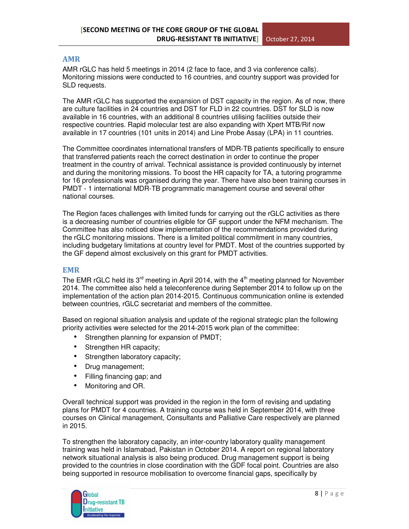### AMR

AMR rGLC has held 5 meetings in 2014 (2 face to face, and 3 via conference calls). Monitoring missions were conducted to 16 countries, and country support was provided for SLD requests.

The AMR rGLC has supported the expansion of DST capacity in the region. As of now, there are culture facilities in 24 countries and DST for FLD in 22 countries. DST for SLD is now available in 16 countries, with an additional 8 countries utilising facilities outside their respective countries. Rapid molecular test are also expanding with Xpert MTB/Rif now available in 17 countries (101 units in 2014) and Line Probe Assay (LPA) in 11 countries.

The Committee coordinates international transfers of MDR-TB patients specifically to ensure that transferred patients reach the correct destination in order to continue the proper treatment in the country of arrival. Technical assistance is provided continuously by internet and during the monitoring missions. To boost the HR capacity for TA, a tutoring programme for 16 professionals was organised during the year. There have also been training courses in PMDT - 1 international MDR-TB programmatic management course and several other national courses.

The Region faces challenges with limited funds for carrying out the rGLC activities as there is a decreasing number of countries eligible for GF support under the NFM mechanism. The Committee has also noticed slow implementation of the recommendations provided during the rGLC monitoring missions. There is a limited political commitment in many countries, including budgetary limitations at country level for PMDT. Most of the countries supported by the GF depend almost exclusively on this grant for PMDT activities.

### EMR

The EMR rGLC held its  $3<sup>rd</sup>$  meeting in April 2014, with the  $4<sup>th</sup>$  meeting planned for November 2014. The committee also held a teleconference during September 2014 to follow up on the implementation of the action plan 2014-2015. Continuous communication online is extended between countries, rGLC secretariat and members of the committee.

Based on regional situation analysis and update of the regional strategic plan the following priority activities were selected for the 2014-2015 work plan of the committee:

- Strengthen planning for expansion of PMDT;
- Strengthen HR capacity;
- Strengthen laboratory capacity;
- Drug management;
- Filling financing gap; and
- Monitoring and OR.

Overall technical support was provided in the region in the form of revising and updating plans for PMDT for 4 countries. A training course was held in September 2014, with three courses on Clinical management, Consultants and Palliative Care respectively are planned in 2015.

To strengthen the laboratory capacity, an inter-country laboratory quality management training was held in Islamabad, Pakistan in October 2014. A report on regional laboratory network situational analysis is also being produced. Drug management support is being provided to the countries in close coordination with the GDF focal point. Countries are also being supported in resource mobilisation to overcome financial gaps, specifically by

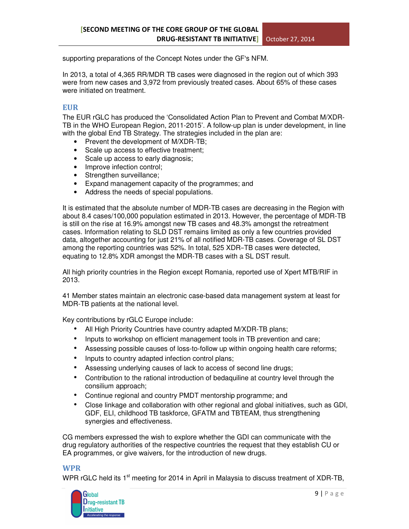supporting preparations of the Concept Notes under the GF's NFM.

In 2013, a total of 4,365 RR/MDR TB cases were diagnosed in the region out of which 393 were from new cases and 3,972 from previously treated cases. About 65% of these cases were initiated on treatment.

### EUR

The EUR rGLC has produced the 'Consolidated Action Plan to Prevent and Combat M/XDR-TB in the WHO European Region, 2011-2015'. A follow-up plan is under development, in line with the global End TB Strategy. The strategies included in the plan are:

- Prevent the development of M/XDR-TB;
- Scale up access to effective treatment;
- Scale up access to early diagnosis;
- Improve infection control;
- Strengthen surveillance;
- Expand management capacity of the programmes; and
- Address the needs of special populations.

It is estimated that the absolute number of MDR-TB cases are decreasing in the Region with about 8.4 cases/100,000 population estimated in 2013. However, the percentage of MDR-TB is still on the rise at 16.9% amongst new TB cases and 48.3% amongst the retreatment cases. Information relating to SLD DST remains limited as only a few countries provided data, altogether accounting for just 21% of all notified MDR-TB cases. Coverage of SL DST among the reporting countries was 52%. In total, 525 XDR−TB cases were detected, equating to 12.8% XDR amongst the MDR-TB cases with a SL DST result.

All high priority countries in the Region except Romania, reported use of Xpert MTB/RIF in 2013.

41 Member states maintain an electronic case-based data management system at least for MDR-TB patients at the national level.

Key contributions by rGLC Europe include:

- All High Priority Countries have country adapted M/XDR-TB plans;
- Inputs to workshop on efficient management tools in TB prevention and care;
- Assessing possible causes of loss-to-follow up within ongoing health care reforms;
- Inputs to country adapted infection control plans;
- Assessing underlying causes of lack to access of second line drugs;
- Contribution to the rational introduction of bedaquiline at country level through the consilium approach;
- Continue regional and country PMDT mentorship programme; and
- Close linkage and collaboration with other regional and global initiatives, such as GDI, GDF, ELI, childhood TB taskforce, GFATM and TBTEAM, thus strengthening synergies and effectiveness.

CG members expressed the wish to explore whether the GDI can communicate with the drug regulatory authorities of the respective countries the request that they establish CU or EA programmes, or give waivers, for the introduction of new drugs.

### WPR

WPR rGLC held its  $1<sup>st</sup>$  meeting for 2014 in April in Malaysia to discuss treatment of XDR-TB,

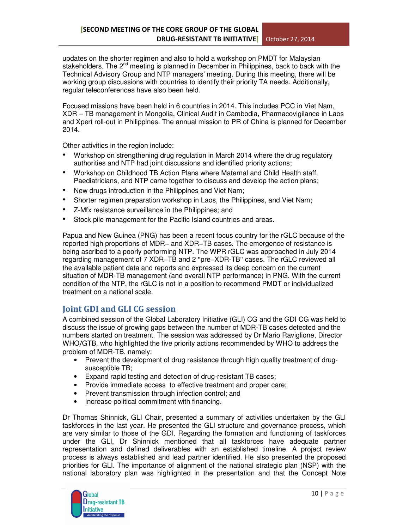updates on the shorter regimen and also to hold a workshop on PMDT for Malaysian stakeholders. The 2<sup>nd</sup> meeting is planned in December in Philippines, back to back with the Technical Advisory Group and NTP managers' meeting. During this meeting, there will be working group discussions with countries to identify their priority TA needs. Additionally, regular teleconferences have also been held.

Focused missions have been held in 6 countries in 2014. This includes PCC in Viet Nam, XDR – TB management in Mongolia, Clinical Audit in Cambodia, Pharmacovigilance in Laos and Xpert roll-out in Philippines. The annual mission to PR of China is planned for December 2014.

Other activities in the region include:

- Workshop on strengthening drug regulation in March 2014 where the drug regulatory authorities and NTP had joint discussions and identified priority actions;
- Workshop on Childhood TB Action Plans where Maternal and Child Health staff, Paediatricians, and NTP came together to discuss and develop the action plans;
- New drugs introduction in the Philippines and Viet Nam;
- Shorter regimen preparation workshop in Laos, the Philippines, and Viet Nam;
- Z-Mfx resistance surveillance in the Philippines; and
- Stock pile management for the Pacific Island countries and areas.

Papua and New Guinea (PNG) has been a recent focus country for the rGLC because of the reported high proportions of MDR− and XDR−TB cases. The emergence of resistance is being ascribed to a poorly performing NTP. The WPR rGLC was approached in July 2014 regarding management of 7 XDR−TB and 2 "pre−XDR-TB" cases. The rGLC reviewed all the available patient data and reports and expressed its deep concern on the current situation of MDR-TB management (and overall NTP performance) in PNG. With the current condition of the NTP, the rGLC is not in a position to recommend PMDT or individualized treatment on a national scale.

# Joint GDI and GLI CG session

A combined session of the Global Laboratory Initiative (GLI) CG and the GDI CG was held to discuss the issue of growing gaps between the number of MDR-TB cases detected and the numbers started on treatment. The session was addressed by Dr Mario Raviglione, Director WHO/GTB, who highlighted the five priority actions recommended by WHO to address the problem of MDR-TB, namely:

- Prevent the development of drug resistance through high quality treatment of drugsusceptible TB;
- Expand rapid testing and detection of drug-resistant TB cases;
- Provide immediate access to effective treatment and proper care;
- Prevent transmission through infection control; and
- Increase political commitment with financing.

Dr Thomas Shinnick, GLI Chair, presented a summary of activities undertaken by the GLI taskforces in the last year. He presented the GLI structure and governance process, which are very similar to those of the GDI. Regarding the formation and functioning of taskforces under the GLI, Dr Shinnick mentioned that all taskforces have adequate partner representation and defined deliverables with an established timeline. A project review process is always established and lead partner identified. He also presented the proposed priorities for GLI. The importance of alignment of the national strategic plan (NSP) with the national laboratory plan was highlighted in the presentation and that the Concept Note

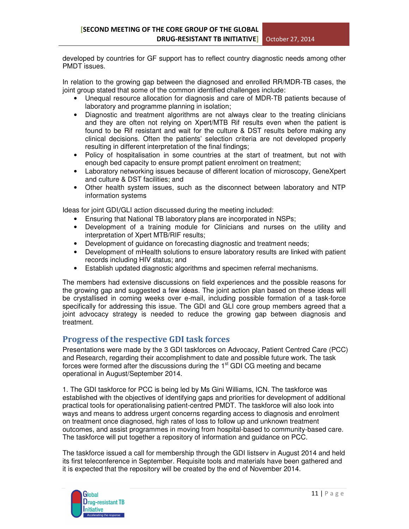developed by countries for GF support has to reflect country diagnostic needs among other PMDT issues.

In relation to the growing gap between the diagnosed and enrolled RR/MDR-TB cases, the joint group stated that some of the common identified challenges include:

- Unequal resource allocation for diagnosis and care of MDR-TB patients because of laboratory and programme planning in isolation;
- Diagnostic and treatment algorithms are not always clear to the treating clinicians and they are often not relying on Xpert/MTB Rif results even when the patient is found to be Rif resistant and wait for the culture & DST results before making any clinical decisions. Often the patients' selection criteria are not developed properly resulting in different interpretation of the final findings;
- Policy of hospitalisation in some countries at the start of treatment, but not with enough bed capacity to ensure prompt patient enrolment on treatment;
- Laboratory networking issues because of different location of microscopy, GeneXpert and culture & DST facilities; and
- Other health system issues, such as the disconnect between laboratory and NTP information systems

Ideas for joint GDI/GLI action discussed during the meeting included:

- Ensuring that National TB laboratory plans are incorporated in NSPs;
- Development of a training module for Clinicians and nurses on the utility and interpretation of Xpert MTB/RIF results;
- Development of guidance on forecasting diagnostic and treatment needs;
- Development of mHealth solutions to ensure laboratory results are linked with patient records including HIV status; and
- Establish updated diagnostic algorithms and specimen referral mechanisms.

The members had extensive discussions on field experiences and the possible reasons for the growing gap and suggested a few ideas. The joint action plan based on these ideas will be crystallised in coming weeks over e-mail, including possible formation of a task-force specifically for addressing this issue. The GDI and GLI core group members agreed that a joint advocacy strategy is needed to reduce the growing gap between diagnosis and treatment.

# Progress of the respective GDI task forces

Presentations were made by the 3 GDI taskforces on Advocacy, Patient Centred Care (PCC) and Research, regarding their accomplishment to date and possible future work. The task forces were formed after the discussions during the  $1<sup>st</sup>$  GDI CG meeting and became operational in August/September 2014.

1. The GDI taskforce for PCC is being led by Ms Gini Williams, ICN. The taskforce was established with the objectives of identifying gaps and priorities for development of additional practical tools for operationalising patient-centred PMDT. The taskforce will also look into ways and means to address urgent concerns regarding access to diagnosis and enrolment on treatment once diagnosed, high rates of loss to follow up and unknown treatment outcomes, and assist programmes in moving from hospital-based to community-based care. The taskforce will put together a repository of information and guidance on PCC.

The taskforce issued a call for membership through the GDI listserv in August 2014 and held its first teleconference in September. Requisite tools and materials have been gathered and it is expected that the repository will be created by the end of November 2014.

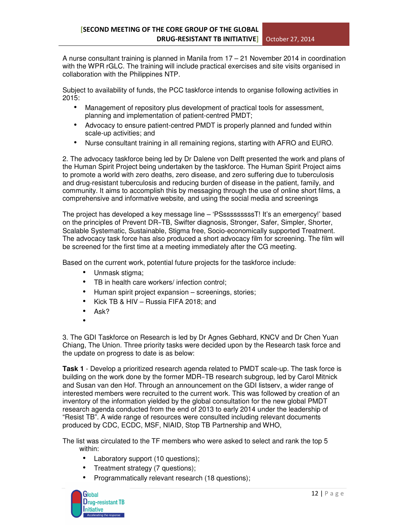A nurse consultant training is planned in Manila from 17 – 21 November 2014 in coordination with the WPR rGLC. The training will include practical exercises and site visits organised in collaboration with the Philippines NTP.

Subject to availability of funds, the PCC taskforce intends to organise following activities in  $2015$ 

- Management of repository plus development of practical tools for assessment, planning and implementation of patient-centred PMDT;
- Advocacy to ensure patient-centred PMDT is properly planned and funded within scale-up activities; and
- Nurse consultant training in all remaining regions, starting with AFRO and EURO.

2. The advocacy taskforce being led by Dr Dalene von Delft presented the work and plans of the Human Spirit Project being undertaken by the taskforce. The Human Spirit Project aims to promote a world with zero deaths, zero disease, and zero suffering due to tuberculosis and drug-resistant tuberculosis and reducing burden of disease in the patient, family, and community. It aims to accomplish this by messaging through the use of online short films, a comprehensive and informative website, and using the social media and screenings

The project has developed a key message line – 'PSsssssssssT! It's an emergency!' based on the principles of Prevent DR−TB, Swifter diagnosis, Stronger, Safer, Simpler, Shorter, Scalable Systematic, Sustainable, Stigma free, Socio-economically supported Treatment. The advocacy task force has also produced a short advocacy film for screening. The film will be screened for the first time at a meeting immediately after the CG meeting.

Based on the current work, potential future projects for the taskforce include:

- Unmask stigma;
- TB in health care workers/ infection control;
- Human spirit project expansion screenings, stories;
- Kick TB & HIV Russia FIFA 2018; and
- Ask?
- •

3. The GDI Taskforce on Research is led by Dr Agnes Gebhard, KNCV and Dr Chen Yuan Chiang, The Union. Three priority tasks were decided upon by the Research task force and the update on progress to date is as below:

**Task 1** - Develop a prioritized research agenda related to PMDT scale-up. The task force is building on the work done by the former MDR−TB research subgroup, led by Carol Mitnick and Susan van den Hof. Through an announcement on the GDI listserv, a wider range of interested members were recruited to the current work. This was followed by creation of an inventory of the information yielded by the global consultation for the new global PMDT research agenda conducted from the end of 2013 to early 2014 under the leadership of "Resist TB". A wide range of resources were consulted including relevant documents produced by CDC, ECDC, MSF, NIAID, Stop TB Partnership and WHO,

The list was circulated to the TF members who were asked to select and rank the top 5 within:

- Laboratory support (10 questions);
- Treatment strategy (7 questions);
- Programmatically relevant research (18 questions);

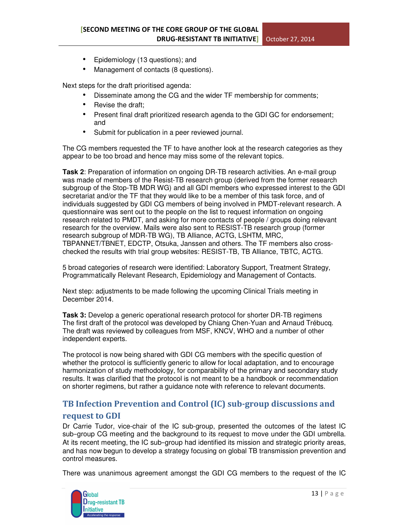- Epidemiology (13 questions); and
- Management of contacts (8 questions).

Next steps for the draft prioritised agenda:

- Disseminate among the CG and the wider TF membership for comments;
- Revise the draft:
- Present final draft prioritized research agenda to the GDI GC for endorsement; and
- Submit for publication in a peer reviewed journal.

The CG members requested the TF to have another look at the research categories as they appear to be too broad and hence may miss some of the relevant topics.

**Task 2**: Preparation of information on ongoing DR-TB research activities. An e-mail group was made of members of the Resist-TB research group (derived from the former research subgroup of the Stop-TB MDR WG) and all GDI members who expressed interest to the GDI secretariat and/or the TF that they would like to be a member of this task force, and of individuals suggested by GDI CG members of being involved in PMDT-relevant research. A questionnaire was sent out to the people on the list to request information on ongoing research related to PMDT, and asking for more contacts of people / groups doing relevant research for the overview. Mails were also sent to RESIST-TB research group (former research subgroup of MDR-TB WG), TB Alliance, ACTG, LSHTM, MRC, TBPANNET/TBNET, EDCTP, Otsuka, Janssen and others. The TF members also crosschecked the results with trial group websites: RESIST-TB, TB Alliance, TBTC, ACTG.

5 broad categories of research were identified: Laboratory Support, Treatment Strategy, Programmatically Relevant Research, Epidemiology and Management of Contacts.

Next step: adjustments to be made following the upcoming Clinical Trials meeting in December 2014.

**Task 3:** Develop a generic operational research protocol for shorter DR-TB regimens The first draft of the protocol was developed by Chiang Chen-Yuan and Arnaud Trébucq. The draft was reviewed by colleagues from MSF, KNCV, WHO and a number of other independent experts.

The protocol is now being shared with GDI CG members with the specific question of whether the protocol is sufficiently generic to allow for local adaptation, and to encourage harmonization of study methodology, for comparability of the primary and secondary study results. It was clarified that the protocol is not meant to be a handbook or recommendation on shorter regimens, but rather a guidance note with reference to relevant documents.

# TB Infection Prevention and Control (IC) sub-group discussions and request to GDI

Dr Carrie Tudor, vice-chair of the IC sub-group, presented the outcomes of the latest IC sub−group CG meeting and the background to its request to move under the GDI umbrella. At its recent meeting, the IC sub−group had identified its mission and strategic priority areas, and has now begun to develop a strategy focusing on global TB transmission prevention and control measures.

There was unanimous agreement amongst the GDI CG members to the request of the IC

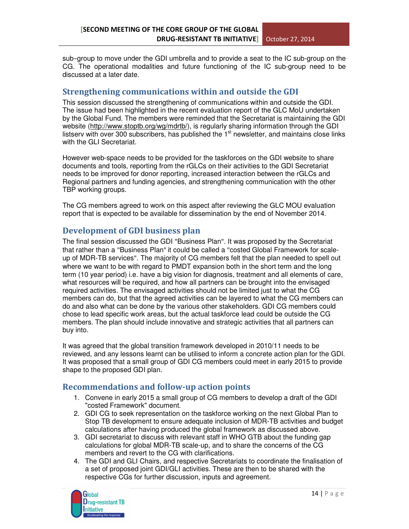sub−group to move under the GDI umbrella and to provide a seat to the IC sub-group on the CG. The operational modalities and future functioning of the IC sub-group need to be discussed at a later date.

# Strengthening communications within and outside the GDI

This session discussed the strengthening of communications within and outside the GDI. The issue had been highlighted in the recent evaluation report of the GLC MoU undertaken by the Global Fund. The members were reminded that the Secretariat is maintaining the GDI website (http://www.stoptb.org/wg/mdrtb/), is regularly sharing information through the GDI listserv with over 300 subscribers, has published the  $1<sup>st</sup>$  newsletter, and maintains close links with the GLI Secretariat.

However web-space needs to be provided for the taskforces on the GDI website to share documents and tools, reporting from the rGLCs on their activities to the GDI Secretariat needs to be improved for donor reporting, increased interaction between the rGLCs and Regional partners and funding agencies, and strengthening communication with the other TBP working groups.

The CG members agreed to work on this aspect after reviewing the GLC MOU evaluation report that is expected to be available for dissemination by the end of November 2014.

# Development of GDI business plan

The final session discussed the GDI "Business Plan". It was proposed by the Secretariat that rather than a "Business Plan" it could be called a "costed Global Framework for scaleup of MDR-TB services". The majority of CG members felt that the plan needed to spell out where we want to be with regard to PMDT expansion both in the short term and the long term (10 year period) i.e. have a big vision for diagnosis, treatment and all elements of care, what resources will be required, and how all partners can be brought into the envisaged required activities. The envisaged activities should not be limited just to what the CG members can do, but that the agreed activities can be layered to what the CG members can do and also what can be done by the various other stakeholders. GDI CG members could chose to lead specific work areas, but the actual taskforce lead could be outside the CG members. The plan should include innovative and strategic activities that all partners can buy into.

It was agreed that the global transition framework developed in 2010/11 needs to be reviewed, and any lessons learnt can be utilised to inform a concrete action plan for the GDI. It was proposed that a small group of GDI CG members could meet in early 2015 to provide shape to the proposed GDI plan.

# Recommendations and follow-up action points

- 1. Convene in early 2015 a small group of CG members to develop a draft of the GDI "costed Framework" document.
- 2. GDI CG to seek representation on the taskforce working on the next Global Plan to Stop TB development to ensure adequate inclusion of MDR-TB activities and budget calculations after having produced the global framework as discussed above.
- 3. GDI secretariat to discuss with relevant staff in WHO GTB about the funding gap calculations for global MDR-TB scale-up, and to share the concerns of the CG members and revert to the CG with clarifications.
- 4. The GDI and GLI Chairs, and respective Secretariats to coordinate the finalisation of a set of proposed joint GDI/GLI activities. These are then to be shared with the respective CGs for further discussion, inputs and agreement.

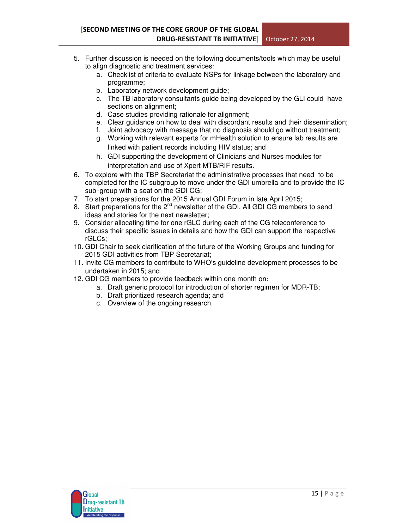- 5. Further discussion is needed on the following documents/tools which may be useful to align diagnostic and treatment services:
	- a. Checklist of criteria to evaluate NSPs for linkage between the laboratory and programme;
	- b. Laboratory network development guide;
	- c. The TB laboratory consultants guide being developed by the GLI could have sections on alignment;
	- d. Case studies providing rationale for alignment;
	- e. Clear guidance on how to deal with discordant results and their dissemination;
	- f. Joint advocacy with message that no diagnosis should go without treatment;
	- g. Working with relevant experts for mHealth solution to ensure lab results are linked with patient records including HIV status; and
	- h. GDI supporting the development of Clinicians and Nurses modules for interpretation and use of Xpert MTB/RIF results.
- 6. To explore with the TBP Secretariat the administrative processes that need to be completed for the IC subgroup to move under the GDI umbrella and to provide the IC sub−group with a seat on the GDI CG;
- 7. To start preparations for the 2015 Annual GDI Forum in late April 2015;
- 8. Start preparations for the  $2^{nd}$  newsletter of the GDI. All GDI CG members to send ideas and stories for the next newsletter;
- 9. Consider allocating time for one rGLC during each of the CG teleconference to discuss their specific issues in details and how the GDI can support the respective rGLCs;
- 10. GDI Chair to seek clarification of the future of the Working Groups and funding for 2015 GDI activities from TBP Secretariat;
- 11. Invite CG members to contribute to WHO's guideline development processes to be undertaken in 2015; and
- 12. GDI CG members to provide feedback within one month on:
	- a. Draft generic protocol for introduction of shorter regimen for MDR-TB;
	- b. Draft prioritized research agenda; and
	- c. Overview of the ongoing research.

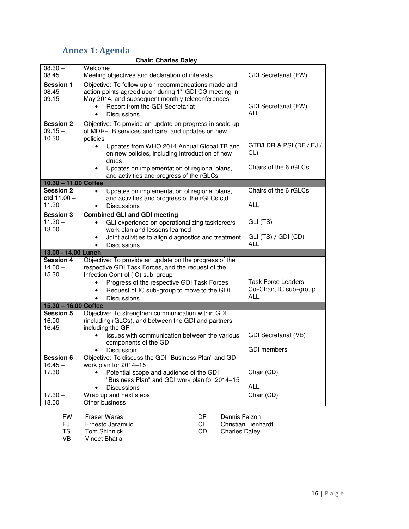# Annex 1: Agenda

| <b>Annex 1: Agenda</b>                 |                                                                                                                                                                                                                                                             |                                                                   |  |
|----------------------------------------|-------------------------------------------------------------------------------------------------------------------------------------------------------------------------------------------------------------------------------------------------------------|-------------------------------------------------------------------|--|
| <b>Chair: Charles Daley</b>            |                                                                                                                                                                                                                                                             |                                                                   |  |
| $08.30 -$<br>08.45                     | Welcome<br>Meeting objectives and declaration of interests                                                                                                                                                                                                  | <b>GDI Secretariat (FW)</b>                                       |  |
| <b>Session 1</b><br>$08.45 -$<br>09.15 | Objective: To follow up on recommendations made and<br>action points agreed upon during 1 <sup>st</sup> GDI CG meeting in<br>May 2014, and subsequent monthly teleconferences<br>Report from the GDI Secretariat<br><b>Discussions</b><br>$\bullet$         | <b>GDI Secretariat (FW)</b><br><b>ALL</b>                         |  |
| <b>Session 2</b><br>$09.15 -$<br>10.30 | Objective: To provide an update on progress in scale up<br>of MDR-TB services and care, and updates on new<br>policies                                                                                                                                      |                                                                   |  |
|                                        | Updates from WHO 2014 Annual Global TB and<br>on new policies, including introduction of new<br>drugs                                                                                                                                                       | GTB/LDR & PSI (DF / EJ /<br>CL)                                   |  |
|                                        | Updates on implementation of regional plans,<br>and activities and progress of the rGLCs                                                                                                                                                                    | Chairs of the 6 rGLCs                                             |  |
| 10.30 - 11.00 Coffee                   |                                                                                                                                                                                                                                                             |                                                                   |  |
| <b>Session 2</b><br>ctd $11.00 -$      | Updates on implementation of regional plans,<br>$\bullet$<br>and activities and progress of the rGLCs ctd                                                                                                                                                   | Chairs of the 6 rGLCs                                             |  |
| 11.30                                  | <b>Discussions</b>                                                                                                                                                                                                                                          | <b>ALL</b>                                                        |  |
| <b>Session 3</b><br>$11.30 -$<br>13.00 | <b>Combined GLI and GDI meeting</b><br>GLI experience on operationalizing taskforce/s<br>$\bullet$<br>work plan and lessons learned                                                                                                                         | GLI (TS)                                                          |  |
|                                        | Joint activities to align diagnostics and treatment<br>Discussions                                                                                                                                                                                          | GLI (TS) / GDI (CD)<br><b>ALL</b>                                 |  |
| 13.00 - 14.00 Lunch                    |                                                                                                                                                                                                                                                             |                                                                   |  |
| <b>Session 4</b><br>$14.00 -$<br>15.30 | Objective: To provide an update on the progress of the<br>respective GDI Task Forces, and the request of the<br>Infection Control (IC) sub-group<br>Progress of the respective GDI Task Forces<br>Request of IC sub-group to move to the GDI<br>Discussions | <b>Task Force Leaders</b><br>Co-Chair, IC sub-group<br><b>ALL</b> |  |
| 15.30 - 16.00 Coffee                   |                                                                                                                                                                                                                                                             |                                                                   |  |
| <b>Session 5</b><br>$16.00 -$<br>16.45 | Objective: To strengthen communication within GDI<br>(including rGLCs), and between the GDI and partners<br>including the GF                                                                                                                                |                                                                   |  |
|                                        | Issues with communication between the various<br>components of the GDI<br>Discussion<br>٠                                                                                                                                                                   | <b>GDI Secretariat (VB)</b><br><b>GDI</b> members                 |  |
| <b>Session 6</b>                       | Objective: To discuss the GDI "Business Plan" and GDI                                                                                                                                                                                                       |                                                                   |  |
| $16.45 -$                              | work plan for 2014-15                                                                                                                                                                                                                                       |                                                                   |  |
| 17.30                                  | Potential scope and audience of the GDI<br>"Business Plan" and GDI work plan for 2014-15                                                                                                                                                                    | Chair (CD)                                                        |  |
|                                        | <b>Discussions</b>                                                                                                                                                                                                                                          | <b>ALL</b>                                                        |  |
| $17.30 -$<br>18.00                     | Wrap up and next steps<br>Other business                                                                                                                                                                                                                    | Chair (CD)                                                        |  |

FW Fraser Wares **DE** Dennis Falzon<br>
EJ Ernesto Jaramillo **DE CONSTANT CONTE** EJ Ernesto Jaramillo CL Christian Lienhardt<br>
TS Tom Shinnick CD Charles Daley

TS Tom Shinnick<br>
VB Vineet Bhatia

Vineet Bhatia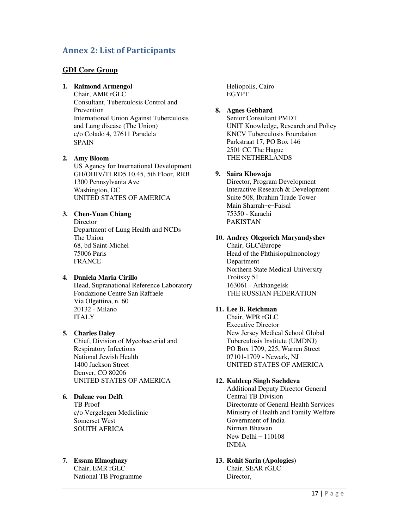# Annex 2: List of Participants

### **GDI Core Group**

### **1. Raimond Armengol**

Chair, AMR rGLC Consultant, Tuberculosis Control and Prevention International Union Against Tuberculosis and Lung disease (The Union) c/o Colado 4, 27611 Paradela SPAIN

### **2. Amy Bloom**

US Agency for International Development GH/OHIV/TLRD5.10.45, 5th Floor, RRB 1300 Pennsylvania Ave Washington, DC UNITED STATES OF AMERICA

### **3. Chen-Yuan Chiang**

**Director** Department of Lung Health and NCDs The Union 68, bd Saint-Michel 75006 Paris FRANCE

### **4. Daniela Maria Cirillo**

Head, Supranational Reference Laboratory Fondazione Centre San Raffaele Via Olgettina, n. 60 20132 - Milano ITALY

### **5. Charles Daley**

Chief, Division of Mycobacterial and Respiratory Infections National Jewish Health 1400 Jackson Street Denver, CO 80206 UNITED STATES OF AMERICA

### **6. Dalene von Delft**

TB Proof c/o Vergelegen Mediclinic Somerset West SOUTH AFRICA

### **7. Essam Elmoghazy**

Chair, EMR rGLC National TB Programme Heliopolis, Cairo EGYPT

# **8. Agnes Gebhard**

Senior Consultant PMDT UNIT Knowledge, Research and Policy KNCV Tuberculosis Foundation Parkstraat 17, PO Box 146 2501 CC The Hague THE NETHERLANDS

#### **9. Saira Khowaja**

Director, Program Development Interactive Research & Development Suite 508, Ibrahim Trade Tower Main Sharrah−e−Faisal 75350 - Karachi PAKISTAN

### **10. Andrey Olegorich Maryandyshev**

Chair, GLC\Europe Head of the Phthisiopulmonology Department Northern State Medical University Troitsky 51 163061 - Arkhangelsk THE RUSSIAN FEDERATION

### **11. Lee B. Reichman**

Chair, WPR rGLC Executive Director New Jersey Medical School Global Tuberculosis Institute (UMDNJ) PO Box 1709, 225, Warren Street 07101-1709 - Newark, NJ UNITED STATES OF AMERICA

### **12. Kuldeep Singh Sachdeva**

Additional Deputy Director General Central TB Division Directorate of General Health Services Ministry of Health and Family Welfare Government of India Nirman Bhawan New Delhi – 110108 INDIA

#### **13. Rohit Sarin (Apologies)**  Chair, SEAR rGLC

Director,